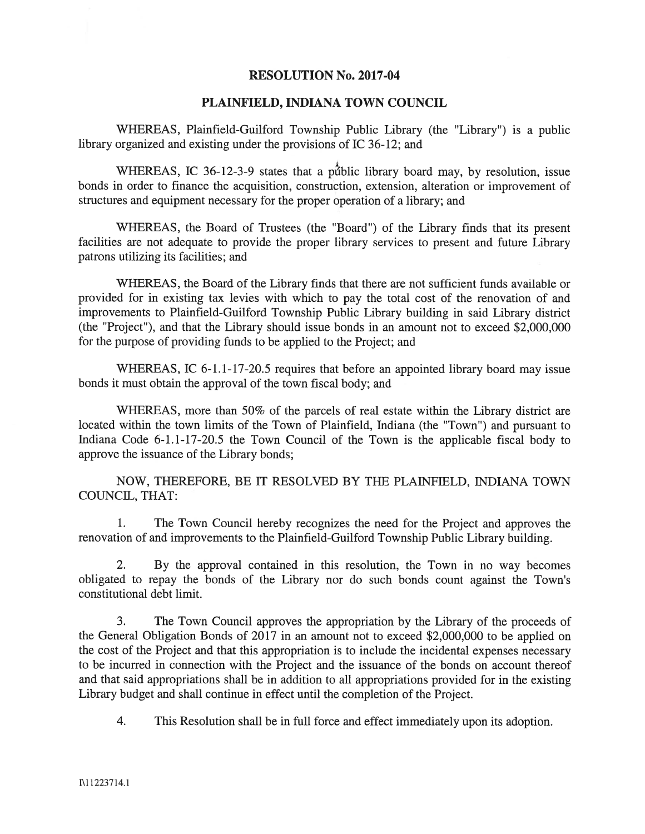## RESOLUTION No. 2017-04

## PLAINFIELD, INDIANA TOWN COUNCIL

WHEREAS, Plainfield-Guilford Township Public Library (the "Library') is <sup>a</sup> public library organized and existing under the provisions of IC 36-12; and

WHEREAS, IC 36-12-3-9 states that a public library board may, by resolution, issue bonds in order to finance the acquisition, construction, extension, alteration or improvement of structures and equipment necessary for the proper operation of <sup>a</sup> library; and

WHEREAS, the Board of Trustees (the "Board") of the Library finds that its presen<sup>t</sup> facilities are not adequate to provide the proper library services to presen<sup>t</sup> and future Library patrons utilizing its facilities; and

WHEREAS, the Board of the Library finds that there are not sufficient funds available or provided for in existing tax levies with which to pay the total cost of the renovation of and improvements to Plainfield-Guilford Township Public Library building in said Library district (the "Project"), and that the Library should issue bonds in an amount not to exceed \$2,000,000 for the purpose of providing funds to be applied to the Project; and

WHEREAS, IC 6-1.1-17-20.5 requires that before an appointed library board may issue bonds it must obtain the approval of the town fiscal body; and

WHEREAS, more than 50% of the parcels of real estate within the Library district are located within the town limits of the Town of Plainfield, Indiana (the "Town") and pursuan<sup>t</sup> to Indiana Code 6-1.1-17-20.5 the Town Council of the Town is the applicable fiscal body to approve the issuance of the Library bonds;

NOW, THEREFORE, BE IT RESOLVED BY THE PLANFIELD, INDIANA TOWN COUNCIL, THAT:

1. The Town Council hereby recognizes the need for the Project and approves the renovation of and improvements to the Plainfield-Guilford Township Public Library building.

2. By the approval contained in this resolution, the Town in no way becomes obligated to repay the bonds of the Library nor do such bonds count against the Town's constitutional debt limit.

3. The Town Council approves the appropriation by the Library of the proceeds of the General Obligation Bonds of 2017 in an amount not to exceed \$2,000,000 to be applied on the cost of the Project and that this appropriation is to include the incidental expenses necessary to be incurred in connection with the Project and the issuance of the bonds on account thereof and that said appropriations shall be in addition to all appropriations provided for in the existing Library budget and shall continue in effect until the completion of the Project.

4. This Resolution shall be in full force and effect immediately upon its adoption.